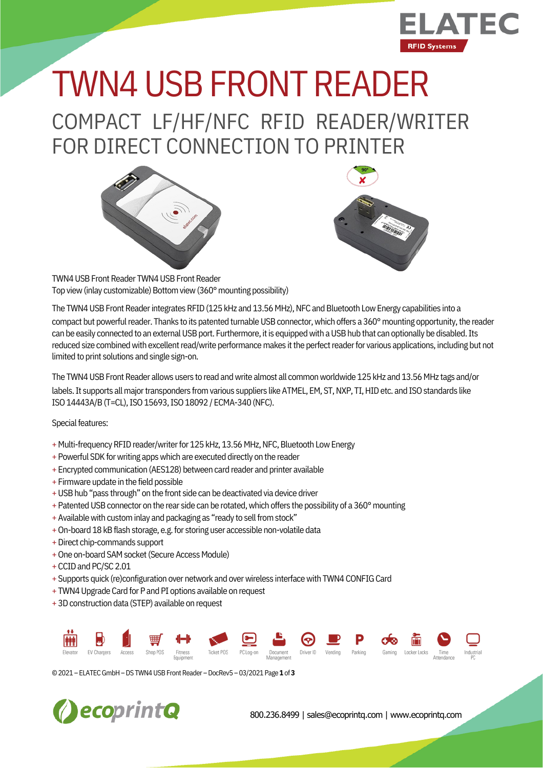

## COMPACT LF/HF/NFC RFID READER/WRITER TWN4 USB FRONT READER

FOR DIRECT CONNECTION TO PRINTER





TWN4 USB Front Reader TWN4 USB Front Reader Top view (inlay customizable) Bottom view (360° mounting possibility)

The TWN4 USB Front Reader integrates RFID (125 kHz and 13.56 MHz), NFC and Bluetooth Low Energy capabilities into a compact but powerful reader. Thanks to its patented turnable USB connector, which offers a 360° mounting opportunity, the reader can be easily connected to an external USB port. Furthermore, it is equipped with a USB hub that can optionally be disabled. Its reduced size combined with excellent read/write performance makes it the perfect reader for various applications, including but not limited to print solutions and single sign-on.

The TWN4 USB Front Reader allows users to read and write almost all common worldwide 125 kHz and 13.56 MHz tags and/or labels. It supports all major transponders from various suppliers like ATMEL, EM, ST, NXP, TI, HID etc. and ISO standards like ISO 14443A/B (T=CL), ISO 15693, ISO 18092 / ECMA-340 (NFC).

Special features:

- + Multi-frequency RFID reader/writer for 125 kHz, 13.56 MHz, NFC, Bluetooth Low Energy
- + Powerful SDK for writing apps which are executed directly on the reader
- + Encrypted communication (AES128) between card reader and printer available
- + Firmware update in the field possible
- + USB hub "pass through" on the front side can be deactivated via device driver
- + Patented USB connector on the rear side can be rotated, which offers the possibility of a 360° mounting
- + Available with custom inlay and packaging as "ready to sell from stock"
- + On-board 18 kB flash storage, e.g. for storing user accessible non-volatile data
- +Direct chip-commands support
- + One on-board SAM socket (Secure Access Module)
- +CCIDand PC/SC 2.01
- + Supports quick (re)configuration over network and over wireless interface with TWN4 CONFIG Card
- + TWN4 Upgrade Card for P and PI options available on request
- + 3D construction data (STEP) available on request

|  |  | <b>MH B 1 H H M Q L ⊙ P O M &amp; O Q</b>                                                                                           |  |  |  |  |  |
|--|--|-------------------------------------------------------------------------------------------------------------------------------------|--|--|--|--|--|
|  |  | Elevator EVChargers Access ShopPOS Fitness TicketPOS PCLog-on Document Driver ID Vending Parking Gaming LockerLocks Time Industrial |  |  |  |  |  |

©2021 – ELATECGmbH–DS TWN4USBFrontReader –DocRev5 – 03/2021 Page **1** of **3**



800.236.8499 | sales@ecoprintq.com | www.ecoprintq.com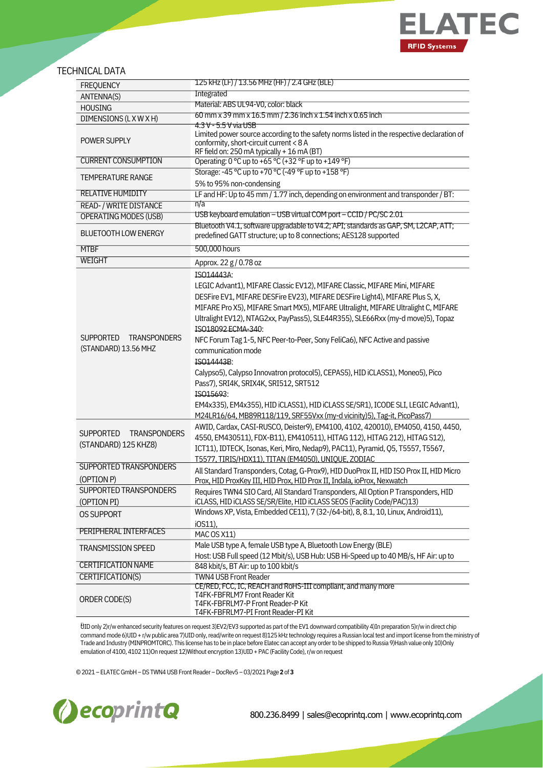

## TECHNICAL DATA

| <b>FREQUENCY</b>                                                | <u>125 kHz (LF) / 13.56 MHz (HF) / 2.4 GHz (BLE)</u>                                                                                                                                                                                                                                                                                                                                                                                                                                                                                                                                                                                                                                                                                                                              |  |  |  |  |  |  |
|-----------------------------------------------------------------|-----------------------------------------------------------------------------------------------------------------------------------------------------------------------------------------------------------------------------------------------------------------------------------------------------------------------------------------------------------------------------------------------------------------------------------------------------------------------------------------------------------------------------------------------------------------------------------------------------------------------------------------------------------------------------------------------------------------------------------------------------------------------------------|--|--|--|--|--|--|
| ANTENNA(S)                                                      | Integrated                                                                                                                                                                                                                                                                                                                                                                                                                                                                                                                                                                                                                                                                                                                                                                        |  |  |  |  |  |  |
| <b>HOUSING</b>                                                  | Material: ABS UL94-V0, color: black                                                                                                                                                                                                                                                                                                                                                                                                                                                                                                                                                                                                                                                                                                                                               |  |  |  |  |  |  |
| DIMENSIONS (LXWXH)                                              | 60 mm x 39 mm x 16.5 mm / 2.36 inch x 1.54 inch x 0.65 inch                                                                                                                                                                                                                                                                                                                                                                                                                                                                                                                                                                                                                                                                                                                       |  |  |  |  |  |  |
| POWER SUPPLY                                                    | 4.3 V - 5.5 V via USB<br>Limited power source according to the safety norms listed in the respective declaration of<br>conformity, short-circuit current < 8 A<br>RF field on: 250 mA typically + 16 mA (BT)                                                                                                                                                                                                                                                                                                                                                                                                                                                                                                                                                                      |  |  |  |  |  |  |
| <b>CURRENT CONSUMPTION</b>                                      | Operating: 0 °C up to +65 °C (+32 °F up to +149 °F)                                                                                                                                                                                                                                                                                                                                                                                                                                                                                                                                                                                                                                                                                                                               |  |  |  |  |  |  |
| <b>TEMPERATURE RANGE</b>                                        | Storage: -45 °C up to +70 °C (-49 °F up to +158 °F)<br>5% to 95% non-condensing                                                                                                                                                                                                                                                                                                                                                                                                                                                                                                                                                                                                                                                                                                   |  |  |  |  |  |  |
| <b>RELATIVE HUMIDITY</b>                                        | LF and HF: Up to 45 mm / 1.77 inch, depending on environment and transponder / BT:                                                                                                                                                                                                                                                                                                                                                                                                                                                                                                                                                                                                                                                                                                |  |  |  |  |  |  |
| READ- / WRITE DISTANCE                                          | n/a                                                                                                                                                                                                                                                                                                                                                                                                                                                                                                                                                                                                                                                                                                                                                                               |  |  |  |  |  |  |
| <b>OPERATING MODES (USB)</b>                                    | USB keyboard emulation – USB virtual COM port – CCID / PC/SC 2.01                                                                                                                                                                                                                                                                                                                                                                                                                                                                                                                                                                                                                                                                                                                 |  |  |  |  |  |  |
| <b>BLUETOOTH LOW ENERGY</b>                                     | Bluetooth V4.1, software upgradable to V4.2; API; standards as GAP, SM, L2CAP, ATT;<br>predefined GATT structure; up to 8 connections; AES128 supported                                                                                                                                                                                                                                                                                                                                                                                                                                                                                                                                                                                                                           |  |  |  |  |  |  |
| <b>MTBF</b>                                                     | 500,000 hours                                                                                                                                                                                                                                                                                                                                                                                                                                                                                                                                                                                                                                                                                                                                                                     |  |  |  |  |  |  |
| <b>WEIGHT</b>                                                   | Approx. 22 g / 0.78 oz                                                                                                                                                                                                                                                                                                                                                                                                                                                                                                                                                                                                                                                                                                                                                            |  |  |  |  |  |  |
|                                                                 | ISO14443A:                                                                                                                                                                                                                                                                                                                                                                                                                                                                                                                                                                                                                                                                                                                                                                        |  |  |  |  |  |  |
| <b>SUPPORTED</b><br><b>TRANSPONDERS</b><br>(STANDARD) 13.56 MHZ | LEGIC Advant1), MIFARE Classic EV12), MIFARE Classic, MIFARE Mini, MIFARE<br>DESFire EV1, MIFARE DESFire EV23), MIFARE DESFire Light4), MIFARE Plus S, X,<br>MIFARE Pro X5), MIFARE Smart MX5), MIFARE Ultralight, MIFARE Ultralight C, MIFARE<br>Ultralight EV12), NTAG2xx, PayPass5), SLE44R355), SLE66Rxx (my-d move)5), Topaz<br>ISO18092 ECMA-340:<br>NFC Forum Tag 1-5, NFC Peer-to-Peer, Sony FeliCa6), NFC Active and passive<br>communication mode<br>ISO14443B:<br>Calypso5), Calypso Innovatron protocol5), CEPAS5), HID iCLASS1), Moneo5), Pico<br>Pass7), SRI4K, SRIX4K, SRI512, SRT512<br>ISO15693:<br>EM4x335), EM4x355), HID iCLASS1), HID iCLASS SE/SR1), ICODE SLI, LEGIC Advant1),<br>M24LR16/64, MB89R118/119, SRF55Vxx (my-d vicinity)5), Tag-it, PicoPass7) |  |  |  |  |  |  |
| <b>SUPPORTED</b><br><b>TRANSPONDERS</b><br>(STANDARD) 125 KHZ8) | AWID, Cardax, CASI-RUSCO, Deister9), EM4100, 4102, 420010), EM4050, 4150, 4450,<br>4550, EM430511), FDX-B11), EM410511), HITAG 112), HITAG 212), HITAG S12),<br>ICT11), IDTECK, Isonas, Keri, Miro, Nedap9), PAC11), Pyramid, Q5, T5557, T5567,<br>T5577, TIRIS/HDX11), TITAN (EM4050), UNIQUE, ZODIAC                                                                                                                                                                                                                                                                                                                                                                                                                                                                            |  |  |  |  |  |  |
| <b>SUPPORTED TRANSPONDERS</b>                                   | All Standard Transponders, Cotag, G-Prox9), HID DuoProx II, HID ISO Prox II, HID Micro                                                                                                                                                                                                                                                                                                                                                                                                                                                                                                                                                                                                                                                                                            |  |  |  |  |  |  |
| (OPTION P)                                                      | Prox, HID ProxKey III, HID Prox, HID Prox II, Indala, ioProx, Nexwatch                                                                                                                                                                                                                                                                                                                                                                                                                                                                                                                                                                                                                                                                                                            |  |  |  |  |  |  |
| SUPPORTED TRANSPONDERS<br>(OPTION PI)                           | Requires TWN4 SIO Card, All Standard Transponders, All Option P Transponders, HID<br>iCLASS, HID iCLASS SE/SR/Elite, HID iCLASS SEOS (Facility Code/PAC)13)                                                                                                                                                                                                                                                                                                                                                                                                                                                                                                                                                                                                                       |  |  |  |  |  |  |
| <b>OS SUPPORT</b>                                               | Windows XP, Vista, Embedded CE11), 7 (32-/64-bit), 8, 8.1, 10, Linux, Android11),                                                                                                                                                                                                                                                                                                                                                                                                                                                                                                                                                                                                                                                                                                 |  |  |  |  |  |  |
|                                                                 | i0S11),                                                                                                                                                                                                                                                                                                                                                                                                                                                                                                                                                                                                                                                                                                                                                                           |  |  |  |  |  |  |
| <b>PERIPHERAL INTERFACES</b>                                    | MAC OS X11)                                                                                                                                                                                                                                                                                                                                                                                                                                                                                                                                                                                                                                                                                                                                                                       |  |  |  |  |  |  |
| <b>TRANSMISSION SPEED</b>                                       | Male USB type A, female USB type A, Bluetooth Low Energy (BLE)                                                                                                                                                                                                                                                                                                                                                                                                                                                                                                                                                                                                                                                                                                                    |  |  |  |  |  |  |
|                                                                 | Host: USB Full speed (12 Mbit/s), USB Hub: USB Hi-Speed up to 40 MB/s, HF Air: up to                                                                                                                                                                                                                                                                                                                                                                                                                                                                                                                                                                                                                                                                                              |  |  |  |  |  |  |
| <b>CERTIFICATION NAME</b>                                       | 848 kbit/s, BT Air: up to 100 kbit/s                                                                                                                                                                                                                                                                                                                                                                                                                                                                                                                                                                                                                                                                                                                                              |  |  |  |  |  |  |
| CERTIFICATION(S)                                                | <b>TWN4 USB Front Reader</b>                                                                                                                                                                                                                                                                                                                                                                                                                                                                                                                                                                                                                                                                                                                                                      |  |  |  |  |  |  |
| ORDER CODE(S)                                                   | CE/RED, FCC, IC, REACH and RoHS-III compliant, and many more<br>T4FK-FBFRLM7 Front Reader Kit<br>T4FK-FBFRLM7-P Front Reader-P Kit<br>T4FK-FBFRLM7-PI Front Reader-PI Kit                                                                                                                                                                                                                                                                                                                                                                                                                                                                                                                                                                                                         |  |  |  |  |  |  |

1)UIDonly 2)r/wenhanced security features on request 3)EV2/EV3 supported as part ofthe EV1 downward compatibility 4)In preparation 5)r/win direct chip command mode 6)UID + r/w public area 7)UID only, read/write on request 8)125 kHz technology requires a Russian local test and import license from the ministry of Trade and Industry (MINPROMTORC). This license has to be in place before Elatec can accept any order to be shipped to Russia 9)Hash value only 10)Only emulation of 4100, 4102 11)On request 12)Without encryption 13)UID + PAC (Facility Code), r/w on request

©2021 – ELATECGmbH–DS TWN4USBFrontReader –DocRev5 – 03/2021 Page **2** of **3**



800.236.8499 | sales@ecoprintq.com | www.ecoprintq.com